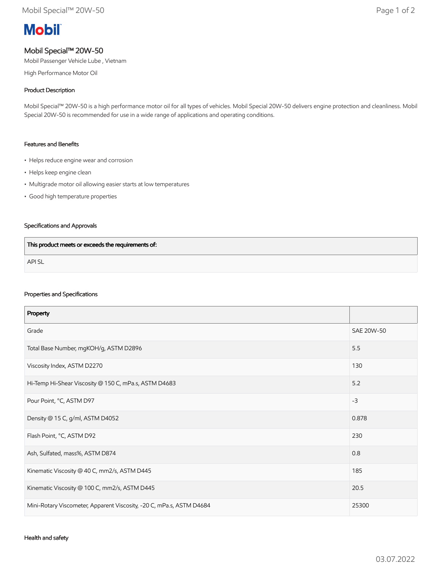# **Mobil**

# Mobil Special™ 20W-50

Mobil Passenger Vehicle Lube , Vietnam

High Performance Motor Oil

## Product Description

Mobil Special™ 20W-50 is a high performance motor oil for all types of vehicles. Mobil Special 20W-50 delivers engine protection and cleanliness. Mobil Special 20W-50 is recommended for use in a wide range of applications and operating conditions.

#### Features and Benefits

- Helps reduce engine wear and corrosion
- Helps keep engine clean
- Multigrade motor oil allowing easier starts at low temperatures
- Good high temperature properties

## Specifications and Approvals

| This product meets or exceeds the requirements of: |  |
|----------------------------------------------------|--|
| <b>APISL</b>                                       |  |

#### Properties and Specifications

| Property                                                             |            |
|----------------------------------------------------------------------|------------|
| Grade                                                                | SAE 20W-50 |
| Total Base Number, mgKOH/g, ASTM D2896                               | 5.5        |
| Viscosity Index, ASTM D2270                                          | 130        |
| Hi-Temp Hi-Shear Viscosity @ 150 C, mPa.s, ASTM D4683                | 5.2        |
| Pour Point, °C, ASTM D97                                             | $-3$       |
| Density @ 15 C, g/ml, ASTM D4052                                     | 0.878      |
| Flash Point, °C, ASTM D92                                            | 230        |
| Ash, Sulfated, mass%, ASTM D874                                      | 0.8        |
| Kinematic Viscosity @ 40 C, mm2/s, ASTM D445                         | 185        |
| Kinematic Viscosity @ 100 C, mm2/s, ASTM D445                        | 20.5       |
| Mini-Rotary Viscometer, Apparent Viscosity, -20 C, mPa.s, ASTM D4684 | 25300      |